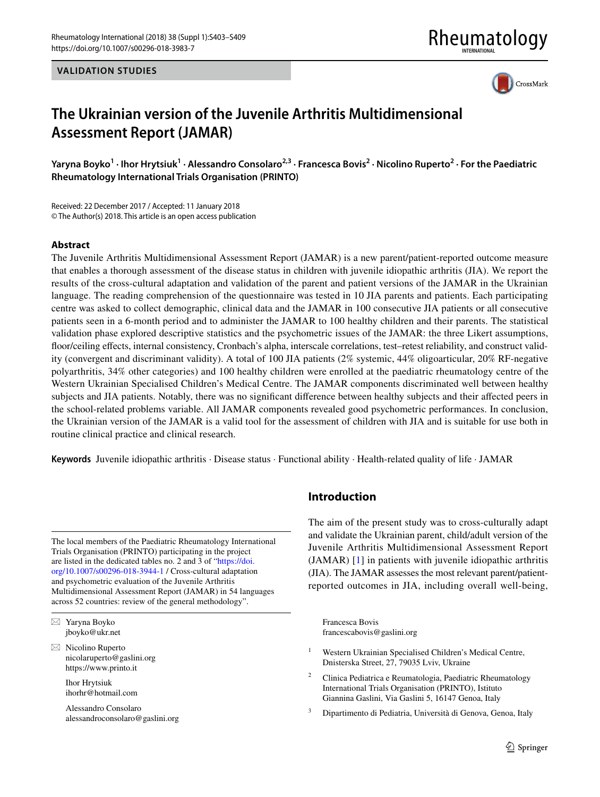**VALIDATION STUDIES**





# **The Ukrainian version of the Juvenile Arthritis Multidimensional Assessment Report (JAMAR)**

Yaryna Boyko<sup>1</sup> · Ihor Hrytsiuk<sup>1</sup> · Alessandro Consolaro<sup>2,3</sup> · Francesca Bovis<sup>2</sup> · Nicolino Ruperto<sup>2</sup> · For the Paediatric **Rheumatology International Trials Organisation (PRINTO)**

Received: 22 December 2017 / Accepted: 11 January 2018 © The Author(s) 2018. This article is an open access publication

#### **Abstract**

The Juvenile Arthritis Multidimensional Assessment Report (JAMAR) is a new parent/patient-reported outcome measure that enables a thorough assessment of the disease status in children with juvenile idiopathic arthritis (JIA). We report the results of the cross-cultural adaptation and validation of the parent and patient versions of the JAMAR in the Ukrainian language. The reading comprehension of the questionnaire was tested in 10 JIA parents and patients. Each participating centre was asked to collect demographic, clinical data and the JAMAR in 100 consecutive JIA patients or all consecutive patients seen in a 6-month period and to administer the JAMAR to 100 healthy children and their parents. The statistical validation phase explored descriptive statistics and the psychometric issues of the JAMAR: the three Likert assumptions, floor/ceiling effects, internal consistency, Cronbach's alpha, interscale correlations, test–retest reliability, and construct validity (convergent and discriminant validity). A total of 100 JIA patients (2% systemic, 44% oligoarticular, 20% RF-negative polyarthritis, 34% other categories) and 100 healthy children were enrolled at the paediatric rheumatology centre of the Western Ukrainian Specialised Children's Medical Centre. The JAMAR components discriminated well between healthy subjects and JIA patients. Notably, there was no significant difference between healthy subjects and their affected peers in the school-related problems variable. All JAMAR components revealed good psychometric performances. In conclusion, the Ukrainian version of the JAMAR is a valid tool for the assessment of children with JIA and is suitable for use both in routine clinical practice and clinical research.

**Keywords** Juvenile idiopathic arthritis · Disease status · Functional ability · Health-related quality of life · JAMAR

The local members of the Paediatric Rheumatology International Trials Organisation (PRINTO) participating in the project are listed in the dedicated tables no. 2 and 3 of "[https://doi.](https://doi.org/10.1007/s00296-018-3944-1) [org/10.1007/s00296-018-3944-1](https://doi.org/10.1007/s00296-018-3944-1) / Cross-cultural adaptation and psychometric evaluation of the Juvenile Arthritis Multidimensional Assessment Report (JAMAR) in 54 languages across 52 countries: review of the general methodology".

 $\boxtimes$  Yaryna Boyko jboyko@ukr.net

 $\boxtimes$  Nicolino Ruperto nicolaruperto@gaslini.org https://www.printo.it

> Ihor Hrytsiuk ihorhr@hotmail.com

Alessandro Consolaro alessandroconsolaro@gaslini.org

# **Introduction**

The aim of the present study was to cross-culturally adapt and validate the Ukrainian parent, child/adult version of the Juvenile Arthritis Multidimensional Assessment Report (JAMAR) [\[1](#page-6-0)] in patients with juvenile idiopathic arthritis (JIA). The JAMAR assesses the most relevant parent/patientreported outcomes in JIA, including overall well-being,

Francesca Bovis francescabovis@gaslini.org

- <sup>1</sup> Western Ukrainian Specialised Children's Medical Centre, Dnisterska Street, 27, 79035 Lviv, Ukraine
- <sup>2</sup> Clinica Pediatrica e Reumatologia, Paediatric Rheumatology International Trials Organisation (PRINTO), Istituto Giannina Gaslini, Via Gaslini 5, 16147 Genoa, Italy
- <sup>3</sup> Dipartimento di Pediatria, Università di Genova, Genoa, Italy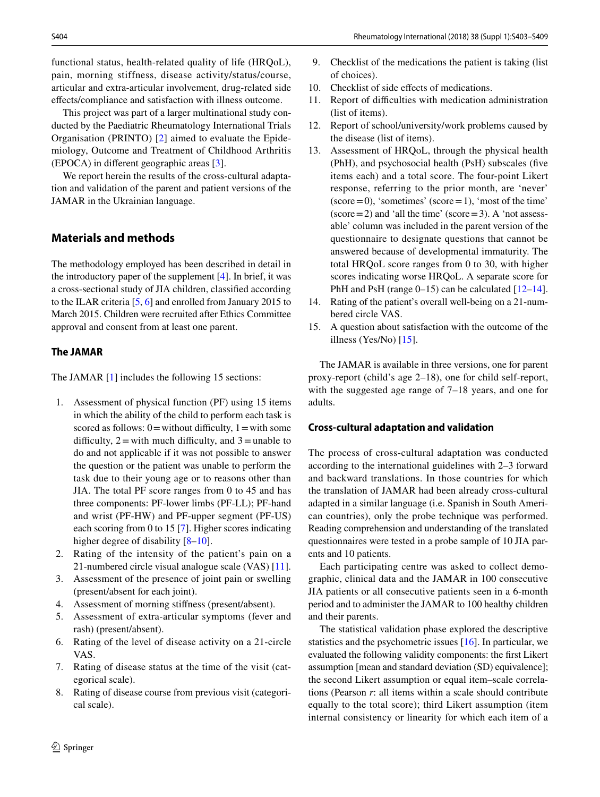functional status, health-related quality of life (HRQoL), pain, morning stiffness, disease activity/status/course, articular and extra-articular involvement, drug-related side efects/compliance and satisfaction with illness outcome.

This project was part of a larger multinational study conducted by the Paediatric Rheumatology International Trials Organisation (PRINTO) [[2\]](#page-6-1) aimed to evaluate the Epidemiology, Outcome and Treatment of Childhood Arthritis (EPOCA) in diferent geographic areas [[3\]](#page-6-2).

We report herein the results of the cross-cultural adaptation and validation of the parent and patient versions of the JAMAR in the Ukrainian language.

# **Materials and methods**

The methodology employed has been described in detail in the introductory paper of the supplement [[4\]](#page-6-3). In brief, it was a cross-sectional study of JIA children, classifed according to the ILAR criteria [\[5](#page-6-4), [6\]](#page-6-5) and enrolled from January 2015 to March 2015. Children were recruited after Ethics Committee approval and consent from at least one parent.

## **The JAMAR**

The JAMAR [[1\]](#page-6-0) includes the following 15 sections:

- 1. Assessment of physical function (PF) using 15 items in which the ability of the child to perform each task is scored as follows:  $0 =$  without difficulty,  $1 =$  with some difficulty,  $2 =$  with much difficulty, and  $3 =$ unable to do and not applicable if it was not possible to answer the question or the patient was unable to perform the task due to their young age or to reasons other than JIA. The total PF score ranges from 0 to 45 and has three components: PF-lower limbs (PF-LL); PF-hand and wrist (PF-HW) and PF-upper segment (PF-US) each scoring from 0 to 15 [\[7](#page-6-6)]. Higher scores indicating higher degree of disability [\[8](#page-6-7)[–10](#page-6-8)].
- 2. Rating of the intensity of the patient's pain on a 21-numbered circle visual analogue scale (VAS) [\[11](#page-6-9)].
- 3. Assessment of the presence of joint pain or swelling (present/absent for each joint).
- 4. Assessment of morning stifness (present/absent).
- 5. Assessment of extra-articular symptoms (fever and rash) (present/absent).
- 6. Rating of the level of disease activity on a 21-circle VAS.
- 7. Rating of disease status at the time of the visit (categorical scale).
- 8. Rating of disease course from previous visit (categorical scale).
- 9. Checklist of the medications the patient is taking (list of choices).
- 10. Checklist of side efects of medications.
- 11. Report of difficulties with medication administration (list of items).
- 12. Report of school/university/work problems caused by the disease (list of items).
- 13. Assessment of HRQoL, through the physical health (PhH), and psychosocial health (PsH) subscales (fve items each) and a total score. The four-point Likert response, referring to the prior month, are 'never'  $(score=0)$ , 'sometimes'  $(score=1)$ , 'most of the time'  $(\text{score}=2)$  and 'all the time'  $(\text{score}=3)$ . A 'not assessable' column was included in the parent version of the questionnaire to designate questions that cannot be answered because of developmental immaturity. The total HRQoL score ranges from 0 to 30, with higher scores indicating worse HRQoL. A separate score for PhH and PsH (range  $0-15$ ) can be calculated  $[12-14]$  $[12-14]$ .
- 14. Rating of the patient's overall well-being on a 21-numbered circle VAS.
- 15. A question about satisfaction with the outcome of the illness (Yes/No) [\[15](#page-6-12)].

The JAMAR is available in three versions, one for parent proxy-report (child's age 2–18), one for child self-report, with the suggested age range of 7–18 years, and one for adults.

## **Cross‑cultural adaptation and validation**

The process of cross-cultural adaptation was conducted according to the international guidelines with 2–3 forward and backward translations. In those countries for which the translation of JAMAR had been already cross-cultural adapted in a similar language (i.e. Spanish in South American countries), only the probe technique was performed. Reading comprehension and understanding of the translated questionnaires were tested in a probe sample of 10 JIA parents and 10 patients.

Each participating centre was asked to collect demographic, clinical data and the JAMAR in 100 consecutive JIA patients or all consecutive patients seen in a 6-month period and to administer the JAMAR to 100 healthy children and their parents.

The statistical validation phase explored the descriptive statistics and the psychometric issues [\[16\]](#page-6-13). In particular, we evaluated the following validity components: the frst Likert assumption [mean and standard deviation (SD) equivalence]; the second Likert assumption or equal item–scale correlations (Pearson *r*: all items within a scale should contribute equally to the total score); third Likert assumption (item internal consistency or linearity for which each item of a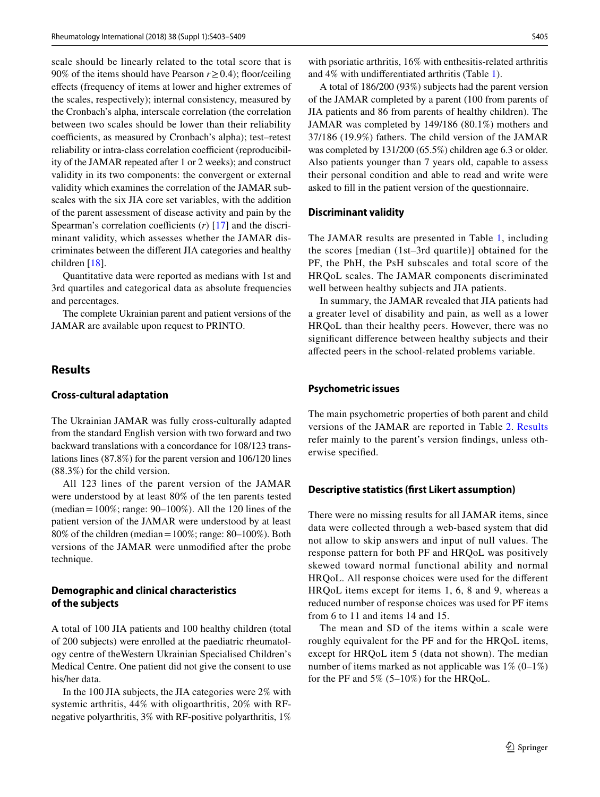scale should be linearly related to the total score that is 90% of the items should have Pearson *r*≥0.4); foor/ceiling efects (frequency of items at lower and higher extremes of the scales, respectively); internal consistency, measured by the Cronbach's alpha, interscale correlation (the correlation between two scales should be lower than their reliability coefficients, as measured by Cronbach's alpha); test–retest reliability or intra-class correlation coefficient (reproducibility of the JAMAR repeated after 1 or 2 weeks); and construct validity in its two components: the convergent or external validity which examines the correlation of the JAMAR subscales with the six JIA core set variables, with the addition of the parent assessment of disease activity and pain by the Spearman's correlation coefficients  $(r)$  [[17](#page-6-14)] and the discriminant validity, which assesses whether the JAMAR discriminates between the diferent JIA categories and healthy children [[18\]](#page-6-15).

Quantitative data were reported as medians with 1st and 3rd quartiles and categorical data as absolute frequencies and percentages.

The complete Ukrainian parent and patient versions of the JAMAR are available upon request to PRINTO.

## <span id="page-2-0"></span>**Results**

#### **Cross‑cultural adaptation**

The Ukrainian JAMAR was fully cross-culturally adapted from the standard English version with two forward and two backward translations with a concordance for 108/123 translations lines (87.8%) for the parent version and 106/120 lines (88.3%) for the child version.

All 123 lines of the parent version of the JAMAR were understood by at least 80% of the ten parents tested (median =  $100\%$ ; range:  $90-100\%$ ). All the 120 lines of the patient version of the JAMAR were understood by at least 80% of the children (median =  $100\%$ ; range: 80–100%). Both versions of the JAMAR were unmodifed after the probe technique.

## **Demographic and clinical characteristics of the subjects**

A total of 100 JIA patients and 100 healthy children (total of 200 subjects) were enrolled at the paediatric rheumatology centre of theWestern Ukrainian Specialised Children's Medical Centre. One patient did not give the consent to use his/her data.

In the 100 JIA subjects, the JIA categories were 2% with systemic arthritis, 44% with oligoarthritis, 20% with RFnegative polyarthritis, 3% with RF-positive polyarthritis, 1%

with psoriatic arthritis, 16% with enthesitis-related arthritis and 4% with undiferentiated arthritis (Table [1](#page-3-0)).

A total of 186/200 (93%) subjects had the parent version of the JAMAR completed by a parent (100 from parents of JIA patients and 86 from parents of healthy children). The JAMAR was completed by 149/186 (80.1%) mothers and 37/186 (19.9%) fathers. The child version of the JAMAR was completed by 131/200 (65.5%) children age 6.3 or older. Also patients younger than 7 years old, capable to assess their personal condition and able to read and write were asked to fll in the patient version of the questionnaire.

#### **Discriminant validity**

The JAMAR results are presented in Table [1](#page-3-0), including the scores [median (1st–3rd quartile)] obtained for the PF, the PhH, the PsH subscales and total score of the HRQoL scales. The JAMAR components discriminated well between healthy subjects and JIA patients.

In summary, the JAMAR revealed that JIA patients had a greater level of disability and pain, as well as a lower HRQoL than their healthy peers. However, there was no signifcant diference between healthy subjects and their afected peers in the school-related problems variable.

#### **Psychometric issues**

The main psychometric properties of both parent and child versions of the JAMAR are reported in Table [2.](#page-4-0) [Results](#page-2-0) refer mainly to the parent's version fndings, unless otherwise specifed.

#### **Descriptive statistics (frst Likert assumption)**

There were no missing results for all JAMAR items, since data were collected through a web-based system that did not allow to skip answers and input of null values. The response pattern for both PF and HRQoL was positively skewed toward normal functional ability and normal HRQoL. All response choices were used for the diferent HRQoL items except for items 1, 6, 8 and 9, whereas a reduced number of response choices was used for PF items from 6 to 11 and items 14 and 15.

The mean and SD of the items within a scale were roughly equivalent for the PF and for the HRQoL items, except for HRQoL item 5 (data not shown). The median number of items marked as not applicable was  $1\%$  (0–1%) for the PF and 5% (5–10%) for the HRQoL.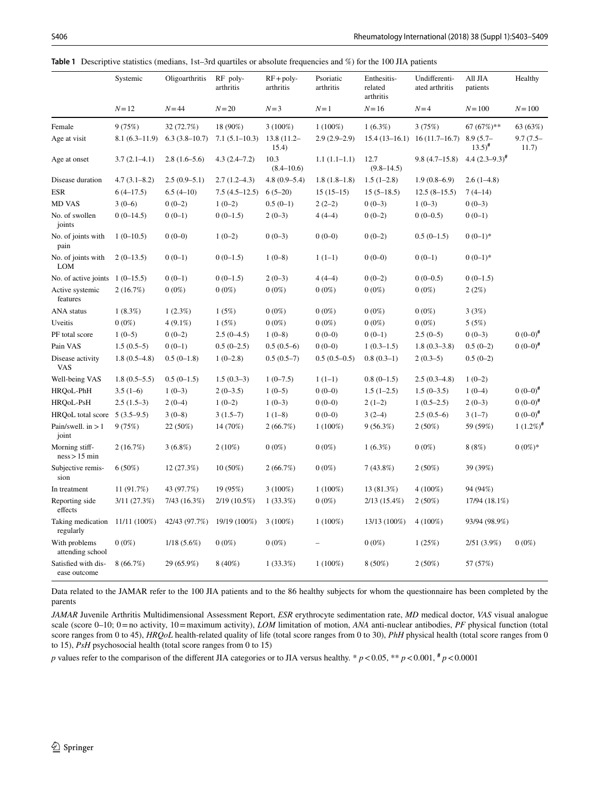<span id="page-3-0"></span>

| Table 1 Descriptive statistics (medians, 1st-3rd quartiles or absolute frequencies and $\%$ ) for the 100 JIA patients |  |
|------------------------------------------------------------------------------------------------------------------------|--|
|------------------------------------------------------------------------------------------------------------------------|--|

|                                     | Systemic         | Oligoarthritis  | RF poly-<br>arthritis | $RF + poly-$<br>arthritis | Psoriatic<br>arthritis | Enthesitis-<br>related<br>arthritis | Undifferenti-<br>ated arthritis | All JIA<br>patients | Healthy              |
|-------------------------------------|------------------|-----------------|-----------------------|---------------------------|------------------------|-------------------------------------|---------------------------------|---------------------|----------------------|
|                                     | $N=12$           | $N = 44$        | $N = 20$              | $N=3$                     | $N=1$                  | $N = 16$                            | $N=4$                           | $N = 100$           | $N = 100$            |
| Female                              | 9(75%)           | 32 (72.7%)      | 18 (90%)              | $3(100\%)$                | $1(100\%)$             | $1(6.3\%)$                          | 3(75%)                          | $67(67%)$ **        | 63 (63%)             |
| Age at visit                        | $8.1(6.3-11.9)$  | $6.3(3.8-10.7)$ | $7.1(5.1-10.3)$       | $13.8(11.2 -$<br>15.4)    | $2.9(2.9-2.9)$         | $15.4(13-16.1)$                     | $16(11.7-16.7)$ 8.9 (5.7-       | $13.5$ <sup>#</sup> | $9.7(7.5 -$<br>11.7) |
| Age at onset                        | $3.7(2.1-4.1)$   | $2.8(1.6-5.6)$  | $4.3(2.4 - 7.2)$      | 10.3<br>$(8.4 - 10.6)$    | $1.1(1.1-1.1)$         | 12.7<br>$(9.8 - 14.5)$              | $9.8(4.7-15.8)$                 | 4.4 $(2.3-9.3)^{#}$ |                      |
| Disease duration                    | $4.7(3.1 - 8.2)$ | $2.5(0.9-5.1)$  | $2.7(1.2-4.3)$        | $4.8(0.9-5.4)$            | $1.8(1.8-1.8)$         | $1.5(1-2.8)$                        | $1.9(0.8-6.9)$                  | $2.6(1-4.8)$        |                      |
| <b>ESR</b>                          | $6(4-17.5)$      | $6.5(4-10)$     | $7.5(4.5-12.5)$       | $6(5-20)$                 | $15(15-15)$            | $15(5-18.5)$                        | $12.5(8-15.5)$                  | $7(4-14)$           |                      |
| <b>MD VAS</b>                       | $3(0-6)$         | $0(0-2)$        | $1(0-2)$              | $0.5(0-1)$                | $2(2-2)$               | $0(0-3)$                            | $1(0-3)$                        | $0(0-3)$            |                      |
| No. of swollen<br>joints            | $0(0-14.5)$      | $0(0-1)$        | $0(0-1.5)$            | $2(0-3)$                  | $4(4-4)$               | $0(0-2)$                            | $0(0-0.5)$                      | $0(0-1)$            |                      |
| No. of joints with<br>pain          | $1(0-10.5)$      | $0(0-0)$        | $1(0-2)$              | $0(0-3)$                  | $0(0-0)$               | $0(0-2)$                            | $0.5(0-1.5)$                    | $0(0-1)$ *          |                      |
| No. of joints with<br><b>LOM</b>    | $2(0-13.5)$      | $0(0-1)$        | $0(0-1.5)$            | $1(0-8)$                  | $1(1-1)$               | $0(0-0)$                            | $0(0-1)$                        | $0(0-1)*$           |                      |
| No. of active joints                | $1(0-15.5)$      | $0(0-1)$        | $0(0-1.5)$            | $2(0-3)$                  | $4(4-4)$               | $0(0-2)$                            | $0(0-0.5)$                      | $0(0-1.5)$          |                      |
| Active systemic<br>features         | 2(16.7%)         | $0(0\%)$        | $0(0\%)$              | $0(0\%)$                  | $0(0\%)$               | $0(0\%)$                            | $0(0\%)$                        | 2(2%)               |                      |
| ANA status                          | $1(8.3\%)$       | $1(2.3\%)$      | 1(5%)                 | $0(0\%)$                  | $0(0\%)$               | $0(0\%)$                            | $0(0\%)$                        | 3(3%)               |                      |
| Uveitis                             | $0\ (0\%)$       | $4(9.1\%)$      | 1(5%)                 | $0(0\%)$                  | $0(0\%)$               | $0(0\%)$                            | $0(0\%)$                        | 5(5%)               |                      |
| PF total score                      | $1(0-5)$         | $0(0-2)$        | $2.5(0-4.5)$          | $1(0-8)$                  | $0(0-0)$               | $0(0-1)$                            | $2.5(0-5)$                      | $0(0-3)$            | $0(0-0)^{*}$         |
| Pain VAS                            | $1.5(0.5-5)$     | $0(0-1)$        | $0.5(0-2.5)$          | $0.5(0.5-6)$              | $0(0-0)$               | $1(0.3-1.5)$                        | $1.8(0.3-3.8)$                  | $0.5(0-2)$          | $0(0-0)^{\#}$        |
| Disease activity<br><b>VAS</b>      | $1.8(0.5-4.8)$   | $0.5(0-1.8)$    | $1(0-2.8)$            | $0.5(0.5-7)$              | $0.5(0.5-0.5)$         | $0.8(0.3-1)$                        | $2(0.3-5)$                      | $0.5(0-2)$          |                      |
| Well-being VAS                      | $1.8(0.5-5.5)$   | $0.5(0-1.5)$    | $1.5(0.3-3)$          | $1(0-7.5)$                | $1(1-1)$               | $0.8(0-1.5)$                        | $2.5(0.3-4.8)$                  | $1(0-2)$            |                      |
| HRQoL-PhH                           | $3.5(1-6)$       | $1(0-3)$        | $2(0-3.5)$            | $1(0-5)$                  | $0(0-0)$               | $1.5(1-2.5)$                        | $1.5(0-3.5)$                    | $1(0-4)$            | $0(0-0)^{\#}$        |
| HRQoL-PsH                           | $2.5(1.5-3)$     | $2(0-4)$        | $1(0-2)$              | $1(0-3)$                  | $0(0-0)$               | $2(1-2)$                            | $1(0.5-2.5)$                    | $2(0-3)$            | $0(0-0)^{*}$         |
| HRQoL total score $5(3.5-9.5)$      |                  | $3(0-8)$        | $3(1.5-7)$            | $1(1-8)$                  | $0(0-0)$               | $3(2-4)$                            | $2.5(0.5-6)$                    | $3(1-7)$            | $0(0-0)^{\#}$        |
| Pain/swell. in $>1$<br>joint        | 9(75%)           | 22 (50%)        | 14 (70%)              | 2(66.7%)                  | $1(100\%)$             | $9(56.3\%)$                         | $2(50\%)$                       | 59 (59%)            | $1(1.2\%)^{\#}$      |
| Morning stiff-<br>ness > 15 min     | 2(16.7%)         | $3(6.8\%)$      | $2(10\%)$             | $0(0\%)$                  | $0(0\%)$               | $1(6.3\%)$                          | $0(0\%)$                        | 8(8%)               | $0(0\%)*$            |
| Subjective remis-<br>sion           | $6(50\%)$        | 12(27.3%)       | $10(50\%)$            | 2(66.7%)                  | $0(0\%)$               | $7(43.8\%)$                         | $2(50\%)$                       | 39 (39%)            |                      |
| In treatment                        | 11 (91.7%)       | 43 (97.7%)      | 19 (95%)              | $3(100\%)$                | $1(100\%)$             | 13 (81.3%)                          | 4 (100%)                        | 94 (94%)            |                      |
| Reporting side<br>effects           | 3/11(27.3%)      | 7/43(16.3%)     | $2/19(10.5\%)$        | $1(33.3\%)$               | $0(0\%)$               | $2/13(15.4\%)$                      | $2(50\%)$                       | 17/94 (18.1%)       |                      |
| Taking medication<br>regularly      | 11/11 (100%)     | 42/43 (97.7%)   | 19/19 (100%)          | $3(100\%)$                | $1(100\%)$             | 13/13 (100%)                        | $4(100\%)$                      | 93/94 (98.9%)       |                      |
| With problems<br>attending school   | $0(0\%)$         | $1/18(5.6\%)$   | $0(0\%)$              | $0(0\%)$                  |                        | $0(0\%)$                            | 1(25%)                          | 2/51(3.9%)          | $0(0\%)$             |
| Satisfied with dis-<br>ease outcome | 8(66.7%)         | 29 (65.9%)      | $8(40\%)$             | $1(33.3\%)$               | $1(100\%)$             | $8(50\%)$                           | $2(50\%)$                       | 57 (57%)            |                      |

Data related to the JAMAR refer to the 100 JIA patients and to the 86 healthy subjects for whom the questionnaire has been completed by the parents

*JAMAR* Juvenile Arthritis Multidimensional Assessment Report, *ESR* erythrocyte sedimentation rate, *MD* medical doctor, *VAS* visual analogue scale (score 0–10; 0=no activity, 10=maximum activity), *LOM* limitation of motion, *ANA* anti-nuclear antibodies, *PF* physical function (total score ranges from 0 to 45), *HRQoL* health-related quality of life (total score ranges from 0 to 30), *PhH* physical health (total score ranges from 0 to 15), *PsH* psychosocial health (total score ranges from 0 to 15)

*p* values refer to the comparison of the different JIA categories or to JIA versus healthy. \*  $p < 0.05$ , \*\*  $p < 0.001$ , #  $p < 0.0001$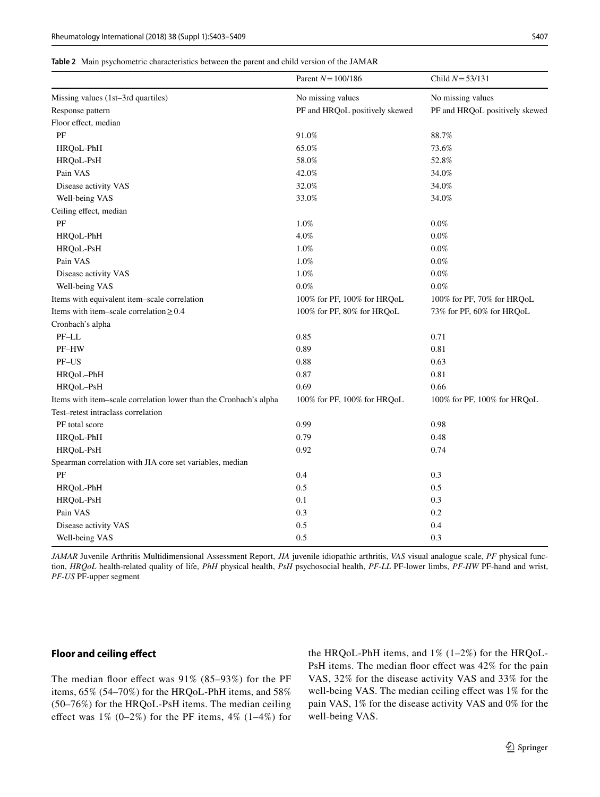<span id="page-4-0"></span>

|  |  | <b>Table 2</b> Main psychometric characteristics between the parent and child version of the JAMAR |  |  |  |  |  |  |
|--|--|----------------------------------------------------------------------------------------------------|--|--|--|--|--|--|
|--|--|----------------------------------------------------------------------------------------------------|--|--|--|--|--|--|

|                                                                   | Parent $N = 100/186$              | Child $N = 53/131$                |  |  |
|-------------------------------------------------------------------|-----------------------------------|-----------------------------------|--|--|
| Missing values (1st-3rd quartiles)                                | No missing values                 | No missing values                 |  |  |
| Response pattern                                                  | PF and HRQoL positively skewed    | PF and HRQoL positively skewed    |  |  |
| Floor effect, median                                              |                                   |                                   |  |  |
| PF                                                                | 91.0%                             | 88.7%                             |  |  |
| HRQoL-PhH                                                         | 65.0%                             | 73.6%                             |  |  |
| HRQoL-PsH                                                         | 58.0%                             | 52.8%                             |  |  |
| Pain VAS                                                          | 42.0%                             | 34.0%                             |  |  |
| Disease activity VAS                                              | 32.0%                             | 34.0%                             |  |  |
| Well-being VAS                                                    | 33.0%                             | 34.0%                             |  |  |
| Ceiling effect, median                                            |                                   |                                   |  |  |
| PF                                                                | 1.0%                              | $0.0\%$                           |  |  |
| HRQoL-PhH                                                         | 4.0%                              | $0.0\%$                           |  |  |
| HRQoL-PsH                                                         | 1.0%                              | $0.0\%$                           |  |  |
| Pain VAS                                                          | $1.0\%$                           | $0.0\%$                           |  |  |
| Disease activity VAS                                              | 1.0%                              | 0.0%                              |  |  |
| Well-being VAS                                                    | $0.0\%$                           | $0.0\%$                           |  |  |
| Items with equivalent item-scale correlation                      | 100% for PF, 100% for HRQoL       | 100% for PF, 70% for HRQoL        |  |  |
| Items with item-scale correlation $\geq 0.4$                      | 100% for PF, 80% for HRQoL        | 73% for PF, 60% for HRQoL         |  |  |
| Cronbach's alpha                                                  |                                   |                                   |  |  |
| PF-LL                                                             | 0.85                              | 0.71                              |  |  |
| PF-HW                                                             | 0.89                              | 0.81                              |  |  |
| PF-US                                                             | 0.88                              | 0.63                              |  |  |
| HRQoL-PhH                                                         | 0.87                              | 0.81                              |  |  |
| HRQoL-PsH                                                         | 0.69                              | 0.66                              |  |  |
| Items with item-scale correlation lower than the Cronbach's alpha | $100\%$ for PF, $100\%$ for HRQoL | $100\%$ for PF, $100\%$ for HRQoL |  |  |
| Test-retest intraclass correlation                                |                                   |                                   |  |  |
| PF total score                                                    | 0.99                              | 0.98                              |  |  |
| HRQoL-PhH                                                         | 0.79                              | 0.48                              |  |  |
| HRQoL-PsH                                                         | 0.92                              | 0.74                              |  |  |
| Spearman correlation with JIA core set variables, median          |                                   |                                   |  |  |
| PF                                                                | 0.4                               | 0.3                               |  |  |
| HRQoL-PhH                                                         | 0.5                               | 0.5                               |  |  |
| HRQoL-PsH                                                         | 0.1                               | 0.3                               |  |  |
| Pain VAS                                                          | 0.3                               | 0.2                               |  |  |
| Disease activity VAS                                              | 0.5                               | 0.4                               |  |  |
| Well-being VAS                                                    | 0.5                               | 0.3                               |  |  |

*JAMAR* Juvenile Arthritis Multidimensional Assessment Report, *JIA* juvenile idiopathic arthritis, *VAS* visual analogue scale, *PF* physical function, *HRQoL* health-related quality of life, *PhH* physical health, *PsH* psychosocial health, *PF-LL* PF-lower limbs, *PF-HW* PF-hand and wrist, *PF-US* PF-upper segment

## **Floor and ceiling efect**

The median floor effect was 91% (85–93%) for the PF items, 65% (54–70%) for the HRQoL-PhH items, and 58% (50–76%) for the HRQoL-PsH items. The median ceiling effect was  $1\%$  (0–2%) for the PF items,  $4\%$  (1–4%) for the HRQoL-PhH items, and 1% (1–2%) for the HRQoL-PsH items. The median floor effect was 42% for the pain VAS, 32% for the disease activity VAS and 33% for the well-being VAS. The median ceiling effect was 1% for the pain VAS, 1% for the disease activity VAS and 0% for the well-being VAS.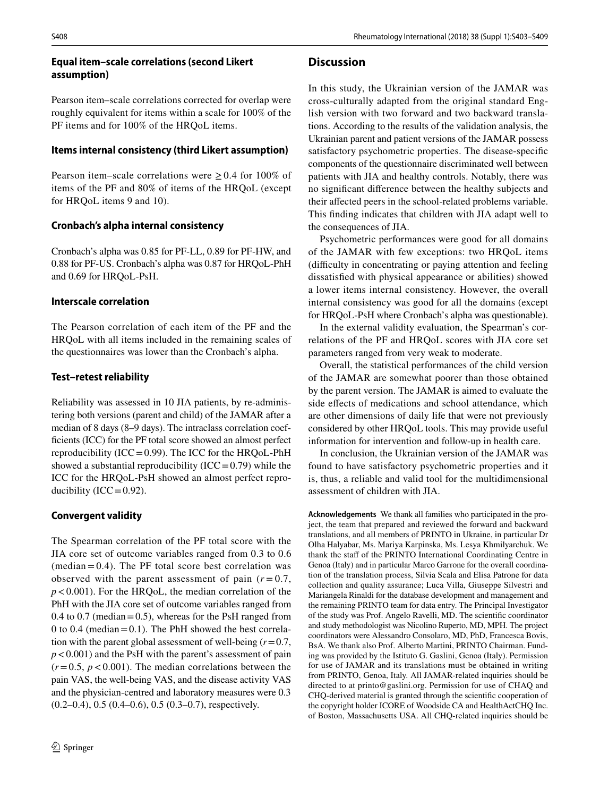# **Equal item–scale correlations (second Likert assumption)**

Pearson item–scale correlations corrected for overlap were roughly equivalent for items within a scale for 100% of the PF items and for 100% of the HRQoL items.

# **Items internal consistency (third Likert assumption)**

Pearson item–scale correlations were  $\geq 0.4$  for 100% of items of the PF and 80% of items of the HRQoL (except for HRQoL items 9 and 10).

# **Cronbach's alpha internal consistency**

Cronbach's alpha was 0.85 for PF-LL, 0.89 for PF-HW, and 0.88 for PF-US. Cronbach's alpha was 0.87 for HRQoL-PhH and 0.69 for HRQoL-PsH.

# **Interscale correlation**

The Pearson correlation of each item of the PF and the HRQoL with all items included in the remaining scales of the questionnaires was lower than the Cronbach's alpha.

# **Test–retest reliability**

Reliability was assessed in 10 JIA patients, by re-administering both versions (parent and child) of the JAMAR after a median of 8 days (8–9 days). The intraclass correlation coeffcients (ICC) for the PF total score showed an almost perfect reproducibility (ICC =  $0.99$ ). The ICC for the HRQoL-PhH showed a substantial reproducibility (ICC =  $0.79$ ) while the ICC for the HRQoL-PsH showed an almost perfect reproducibility  $(ICC=0.92)$ .

# **Convergent validity**

The Spearman correlation of the PF total score with the JIA core set of outcome variables ranged from 0.3 to 0.6  $(median = 0.4)$ . The PF total score best correlation was observed with the parent assessment of pain  $(r=0.7)$ , *p*<0.001). For the HRQoL, the median correlation of the PhH with the JIA core set of outcome variables ranged from 0.4 to 0.7 (median=0.5), whereas for the PsH ranged from 0 to 0.4 (median =  $0.1$ ). The PhH showed the best correlation with the parent global assessment of well-being (*r*=0.7, *p*<0.001) and the PsH with the parent's assessment of pain  $(r=0.5, p<0.001)$ . The median correlations between the pain VAS, the well-being VAS, and the disease activity VAS and the physician-centred and laboratory measures were 0.3 (0.2–0.4), 0.5 (0.4–0.6), 0.5 (0.3–0.7), respectively.

#### S408 Rheumatology International (2018) 38 (Suppl 1):S403–S409

## **Discussion**

In this study, the Ukrainian version of the JAMAR was cross-culturally adapted from the original standard English version with two forward and two backward translations. According to the results of the validation analysis, the Ukrainian parent and patient versions of the JAMAR possess satisfactory psychometric properties. The disease-specifc components of the questionnaire discriminated well between patients with JIA and healthy controls. Notably, there was no signifcant diference between the healthy subjects and their affected peers in the school-related problems variable. This fnding indicates that children with JIA adapt well to the consequences of JIA.

Psychometric performances were good for all domains of the JAMAR with few exceptions: two HRQoL items (difficulty in concentrating or paying attention and feeling) dissatisfed with physical appearance or abilities) showed a lower items internal consistency. However, the overall internal consistency was good for all the domains (except for HRQoL-PsH where Cronbach's alpha was questionable).

In the external validity evaluation, the Spearman's correlations of the PF and HRQoL scores with JIA core set parameters ranged from very weak to moderate.

Overall, the statistical performances of the child version of the JAMAR are somewhat poorer than those obtained by the parent version. The JAMAR is aimed to evaluate the side effects of medications and school attendance, which are other dimensions of daily life that were not previously considered by other HRQoL tools. This may provide useful information for intervention and follow-up in health care.

In conclusion, the Ukrainian version of the JAMAR was found to have satisfactory psychometric properties and it is, thus, a reliable and valid tool for the multidimensional assessment of children with JIA.

**Acknowledgements** We thank all families who participated in the project, the team that prepared and reviewed the forward and backward translations, and all members of PRINTO in Ukraine, in particular Dr Olha Halyabar, Ms. Mariya Karpinska, Ms. Lesya Khmilyarchuk. We thank the staff of the PRINTO International Coordinating Centre in Genoa (Italy) and in particular Marco Garrone for the overall coordination of the translation process, Silvia Scala and Elisa Patrone for data collection and quality assurance; Luca Villa, Giuseppe Silvestri and Mariangela Rinaldi for the database development and management and the remaining PRINTO team for data entry. The Principal Investigator of the study was Prof. Angelo Ravelli, MD. The scientifc coordinator and study methodologist was Nicolino Ruperto, MD, MPH. The project coordinators were Alessandro Consolaro, MD, PhD, Francesca Bovis, BsA. We thank also Prof. Alberto Martini, PRINTO Chairman. Funding was provided by the Istituto G. Gaslini, Genoa (Italy). Permission for use of JAMAR and its translations must be obtained in writing from PRINTO, Genoa, Italy. All JAMAR-related inquiries should be directed to at printo@gaslini.org. Permission for use of CHAQ and CHQ-derived material is granted through the scientifc cooperation of the copyright holder ICORE of Woodside CA and HealthActCHQ Inc. of Boston, Massachusetts USA. All CHQ-related inquiries should be